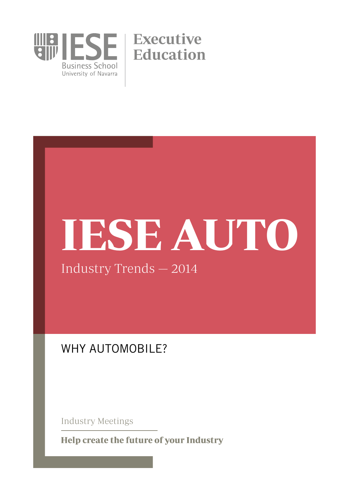

# IESE AUTO

Industry Trends — 2014

# WHY AUTOMOBILE?

Industry Meetings

Help create the future of your Industry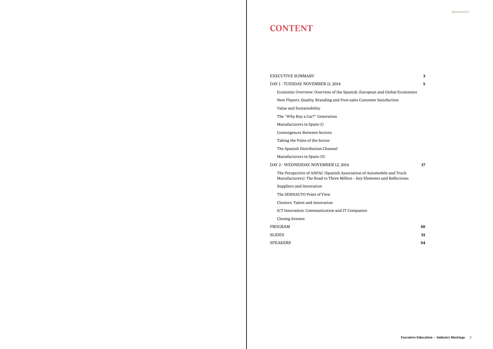# **CONTENT**

EXECUTIVE SUMMARY 3

DAY 1 - TUESDAY, NOVEMBER 11, 2014 5

Economic Overview: Overview of the Spanish, European and Global Economies

New Players: Quality, Branding and Post-sales Customer Satisfaction

Value and Sustainability

The "Why Buy a Car?" Generation

Manufacturers in Spain (I)

Convergences Between Sectors

Taking the Pulse of the Sector

The Spanish Distribution Channel

Manufacturers in Spain (II)

DAY 2 - WEDNESDAY, NOVEMBER 12, 2014 17

The Perspective of ANFAC (Spanish Association of Automobile and Truck Manufacturers): The Road to Three Million – Key Elements and Reflections

Suppliers and Innovation

The SERNAUTO Point of View

Clusters, Talent and Innovation

ICT Innovation: Communication and IT Companies

Closing Session

PROGRAM 50

SLIDES 51

SPEAKERS 54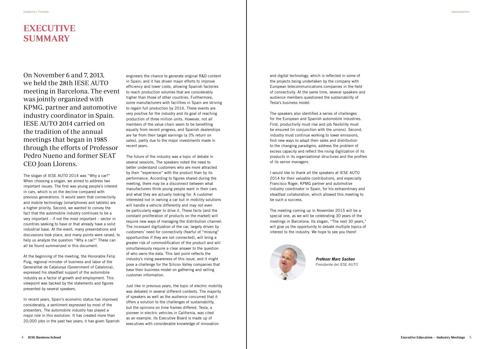# EXECUTIVE SUMMARY

On November 6 and 7, 2013, we held the 28th IESE AUTO meeting in Barcelona. The event was jointly organized with KPMG, partner and automotive industry coordinator in Spain. IESE AUTO 2014 carried on the tradition of the annual meetings that began in 1985 through the efforts of Professor Pedro Nueno and former SEAT CEO Joan Llorens.

The slogan of IESE AUTO 2014 was "Why a car?" When choosing a slogan, we aimed to address two important issues. The first was young people's interest in cars, which is on the decline compared with previous generations. It would seem that connectivity and mobile technology (smartphones and tablets) are a higher priority. Second, we wanted to convey the fact that the automobile industry continues to be a very important – if not the most important – sector in countries seeking to have or that already have a solid industrial base. At the event, many presentations and discussions took place, and many points were raised, to help us analyze the question "Why a car?" These can all be found summarized in this document.

At the beginning of the meeting, the Honorable Felip Puig, regional minister of business and labor of the Generalitat de Catalunya (Government of Catalonia), expressed his steadfast support of the automobile industry as a factor of growth and employment. This viewpoint was backed by the statements and figures presented by several speakers.

In recent years, Spain's economic status has improved considerably, a sentiment expressed by most of the presenters. The automobile industry has played a major role in this evolution. It has created more than 20,000 jobs in the past two years; it has given Spanish

engineers the chance to generate original R&D content in Spain; and it has driven major efforts to improve efficiency and lower costs, allowing Spanish factories to reach production volumes that are considerably higher than those of other countries. Furthermore, some manufacturers with facilities in Spain are striving to regain full production by 2016. These events are very positive for the industry and its goal of reaching production of three million units. However, not all members of the value chain seem to be benefiting equally from recent progress, and Spanish dealerships are far from their target earnings (a 3% return on sales), partly due to the major investments made in recent years.

The future of the industry was a topic of debate in several sessions. The speakers noted the need to better understand customers who are more attracted by their "experience" with the product than by its performance. According to figures shared during the meeting, there may be a disconnect between what manufacturers think young people want in their cars and what they are actually looking for. A customer interested not in owning a car but in mobility solutions will handle a vehicle differently and may not even be particularly eager to drive it. These facts (and the constant proliferation of products on the market) will require new ways of managing the distribution channel. The incessant digitization of the car, largely driven by customers' need for connectivity (fearful of "missing" opportunities if they are not connected), will bring a greater risk of commodification of the product and will simultaneously require a clear answer to the question of who owns the data. This last point reflects the industry's rising awareness of this issue, and it might pose a challenge for the Silicon Valley companies that base their business model on gathering and selling customer information.

Just like in previous years, the topic of electric mobility was debated in several different contexts. The majority of speakers as well as the audience concurred that it offers a solution to the challenges of sustainability, but the opinions on time frames differed. Tesla, a pioneer in electric vehicles in California, was cited as an example. Its Executive Board is made up of executives with considerable knowledge of innovation

and digital technology, which is reflected in some of the projects being undertaken by the company with European telecommunications companies in the field of connectivity. At the same time, several speakers and audience members questioned the sustainability of Tesla's business model.

The speakers also identified a series of challenges for the European and Spanish automobile industries. First, productivity must rise and job flexibility must be ensured (in conjunction with the unions). Second, industry must continue working to lower emissions, find new ways to adapt their sales and distribution to the changing paradigms, address the problem of excess capacity and reflect the rising digitization of its products in its organizational structures and the profiles of its senior managers.

I would like to thank all the speakers at IESE AUTO 2014 for their valuable contributions, and especially Francisco Roger, KPMG partner and automotive industry coordinator in Spain, for his extraordinary and steadfast collaboration, which allowed this meeting to be such a success.

The meeting coming up in November 2015 will be a special one, as we will be celebrating 30 years of the meetings in Barcelona. Its slogan, "The next 30 years," will give us the opportunity to debate multiple topics of interest to the industry. We hope to see you there!



*Profesor Marc Sachon* Presidente del IESE AUTO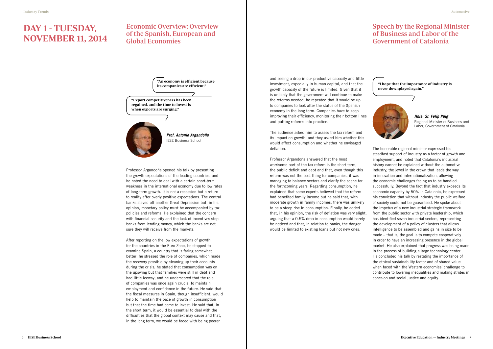# DAY 1 - TUESDAY, NOVEMBER 11, 2014

# Economic Overview: Overview of the Spanish, European and Global Economies

# Speech by the Regional Minister of Business and Labor of the Government of Catalonia

Professor Argandoña opened his talk by presenting the growth expectations of the leading countries, and he noted the need to deal with a certain short-term weakness in the international economy due to low rates of long-term growth. It is not a recession but a return to reality after overly positive expectations. The central banks staved off another Great Depression but, in his opinion, monetary policy must be accompanied by tax policies and reforms. He explained that the concern with financial security and the lack of incentives stop banks from lending money, which the banks are not sure they will receive from the markets.

After reporting on the low expectations of growth for the countries in the Euro Zone, he stopped to examine Spain, a country that is faring somewhat better: he stressed the role of companies, which made the recovery possible by cleaning up their accounts during the crisis; he stated that consumption was on the upswing but that families were still in debt and had little leeway; and he underscored that the role of companies was once again crucial to maintain employment and confidence in the future. He said that the fiscal measures in Spain, though insufficient, would help to maintain the pace of growth in consumption but that the time had come to invest. He said that, in the short term, it would be essential to deal with the difficulties that the global context may cause and that, in the long term, we would be faced with being poorer

and seeing a drop in our productive capacity and little investment, especially in human capital, and that the "I hope that the importance of industry is<br>its companies are efficient." growth capacity of the future is limited. Given that it is unlikely that the government will continue to make the reforms needed, he repeated that it would be up to companies to look after the status of the Spanish economy in the long term. Companies have to keep improving their efficiency, monitoring their bottom lines and putting reforms into practice.

> The audience asked him to assess the tax reform and its impact on growth, and they asked him whether this would affect consumption and whether he envisaged deflation.

Professor Argandoña answered that the most worrisome part of the tax reform is the short term, the public deficit and debt and that, even though this reform was not the best thing for companies, it was managing to balance sectors and clarify the scene for the forthcoming years. Regarding consumption, he explained that some experts believed that the reform had benefited family income but he said that, with moderate growth in family incomes, there was unlikely to be a steep rise in consumption. Finally, he added that, in his opinion, the risk of deflation was very slight, arguing that a 0.5% drop in consumption would barely be noticed and that, in relation to banks, the danger would be limited to existing loans but not new ones.

"An economy is efficient because

never downplayed again."



## "Export competitiveness has been regained, and the time to invest is when exports are surging."



The honorable regional minister expressed his steadfast support of industry as a factor of growth and employment, and noted that Catalonia's industrial history cannot be explained without the automotive industry, the jewel in the crown that leads the way in innovation and internationalization, allowing the economic challenges facing us to be handled successfully. Beyond the fact that industry exceeds its economic capacity by 50% in Catalonia, he expressed his conviction that without industry the public welfare of society could not be guaranteed. He spoke about the impetus of a new industrial strategic framework from the public sector with private leadership, which has identified seven industrial sectors, representing the development of a policy of clusters that allows intelligence to be assembled and gains in size to be made – that is, the goal is to compete cooperatively in order to have an increasing presence in the global market. He also explained that progress was being made in the process of building a large technology center. He concluded his talk by restating the importance of the ethical sustainability factor and of shared value when faced with the Western economies' challenge to contribute to lowering inequalities and making strides in cohesion and social justice and equity.

*Prof. Antonio Argandoña* IESE Business School

*Hble. Sr. Felip Puig* Regional Minister of Business and Labor, Government of Catalonia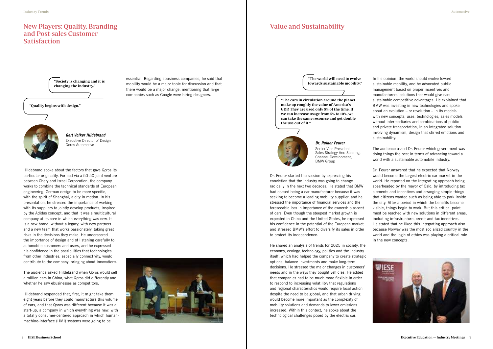Hildebrand spoke about the factors that gave Qoros its particular originality. Formed via a 50-50 joint venture between Chery and Israel Corporation, the company works to combine the technical standards of European engineering, German design to be more specific, with the spirit of Shanghai, a city in motion. In his presentation, he stressed the importance of working with its suppliers to jointly develop products, inspired by the Adidas concept, and that it was a multicultural company at its core in which everything was new. It is a new brand, without a legacy, with new partners and a new team that works passionately, taking great risks in the decisions they make. He underscored the importance of design and of listening carefully to automobile customers and users, and he expressed his confidence in the possibilities that technologies from other industries, especially connectivity, would contribute to the company, bringing about innovations.

The audience asked Hildebrand when Qoros would sell a million cars in China, what Qoros did differently and whether he saw ebusinesses as competitors.

Hildebrand responded that, first, it might take them eight years before they could manufacture this volume of cars, and that Qoros was different because it was a start-up, a company in which everything was new, with a totally consumer-centered approach in which humanmachine-interface (HMI) systems were going to be



# New Players: Quality, Branding and Post-sales Customer **Satisfaction**

Dr. Feurer started the session by expressing his conviction that the industry was going to change radically in the next two decades. He stated that BMW had ceased being a car manufacturer because it was seeking to become a leading mobility supplier, and he stressed the importance of financial services and the foreseeable loss in importance of the ownership aspect of cars. Even though the steepest market growth is expected in China and the United States, he expressed his confidence in the potential of the European market and stressed BMW's effort to diversify its sales in order to protect its independence.



*Gert Volker Hildebrand* Executive Director of Design<br>Qoros Automotive

He shared an analysis of trends for 2025 in society, the economy, ecology, technology, politics and the industry itself, which had helped the company to create strategic options, balance investments and make long-term decisions. He stressed the major changes in customers' needs and in the ways they bought vehicles. He added that companies had to be much more flexible in order to respond to increasing volatility; that regulations and regional characteristics would require local action despite the need to be global; and that urban driving would become more important as the complexity of mobility solutions and demands to lower emissions increased. Within this context, he spoke about the technological challenges posed by the electric car.

# Value and Sustainability

"Quality begins with design."

"The cars in circulation around the planet make up roughly the value of America's GDP. They are used only 5% of the time. If we can increase usage from 5% to 10%, we can take the same resource and get double the use out of it."

"Society is changing and it is changing the industry."



"The world will need to evolve towards sustainable mobility."

essential. Regarding ebusiness companies, he said that mobility would be a major topic for discussion and that there would be a major change, mentioning that large companies such as Google were hiring designers.

In his opinion, the world should evolve toward sustainable mobility, and he advocated public management based on proper incentives and manufacturers' solutions that would give cars sustainable competitive advantages. He explained that BMW was investing in new technologies and spoke about an evolution  $-$  or revolution  $-$  in its models with new concepts, uses, technologies, sales models without intermediaries and combinations of public and private transportation, in an integrated solution involving dynamism, design that stirred emotions and sustainability.

The audience asked Dr. Feurer which government was doing things the best in terms of advancing toward a world with a sustainable automobile industry.

Dr. Feurer answered that he expected that Norway would become the largest electric car market in the world. He reported on the integrating approach being spearheaded by the mayor of Oslo, by introducing tax elements and incentives and arranging simple things that citizens wanted such as being able to park inside the city. After a period in which the benefits become visible, things begin to work. But this critical point must be reached with new solutions in different areas, including infrastructure, credit and tax incentives. He stated that he liked this integrating approach also because Norway was the most socialized country in the world and the logic of ethics was playing a critical role in the new concepts.





Senior Vice President, Sales Strategy And Steering, Channel Development, BMW Group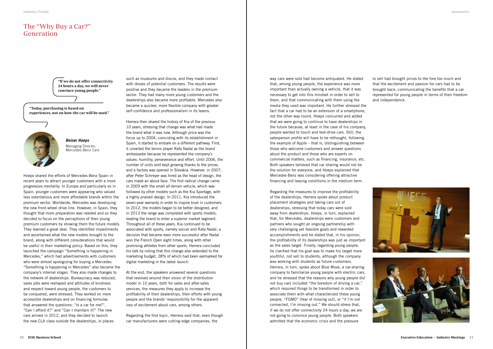such as museums and discos, and they made contact with droves of potential customers. The results were positive and they became the leaders in the premium sector. They had many more young customers and the dealerships also became more profitable. Mercedes also became a quicker, more flexible company with greater self-confidence and professionalism in its teams.

Herrera then shared the history of Kia of the previous 10 years, stressing that change was what had made the brand what it was now. Although price was the focus up to 2004, coinciding with its establishment in Spain, it started to embark on a different pathway. First, it unveiled the tennis player Rafa Nadal as the brand ambassador because he represented the company's values: humility, perseverance and effort. Until 2006, the number of units sold kept growing thanks to the prices, and a factory was opened in Slovakia. However, in 2007, after Peter Schreyer was hired as the head of design, the cars made an about-face. The first radical change came in 2009 with the small all-terrain vehicle, which was followed by other models such as the Kia Sportage, with a highly praised design. In 2011, Kia introduced the seven-year warranty in order to inspire trust in customers. In 2012, the models began to be better designed, and in 2013 the range was completed with sports models, leading the brand to enter a superior market segment. Throughout all of these years, Kia continued to be associated with sports, namely soccer and Rafa Nadal, a decision that became even more successful after Nadal won the French Open eight times, along with other promising athletes from other sports. Herrera concluded his talk by noting that this change also extended to the marketing budget, 28% of which had been earmarked for digital marketing in the latest launch.

At the end, the speakers answered several questions that revolved around their vision of the distribution model in 10 years, both for sales and after-sales services, the measures they apply to increase the profitability of their dealerships, their efforts with young people and the brands' responsibility for the apparent loss of excitement about cars, among others.

Regarding the first topic, Herrera said that, even though car manufacturers were cutting-edge companies, the

way cars were sold had become antiquated. He stated that, among young people, the experience was more important than actually owning a vehicle, that it was necessary to get into this mindset in order to sell to them, and that communicating with them using the media they used was important. He further stressed the fact that a car had to be an extension of a smartphone, not the other way round. Hoeps concurred and added that we were going to continue to have dealerships in the future because, at least in the case of his company, people wanted to touch and test-drive cars. Still, the salesperson profile will have to be rethought, following the example of Apple – that is, distinguishing between those who welcome customers and answer questions about the product and those who are experts on commercial matters, such as financing, insurance, etc. Both speakers believed that car sharing would not be the solution for everyone, and Hoeps explained that Mercedes-Benz was considering offering attractive financing and leasing conditions in the medium term.

*Reiner Hoeps* Managing Director, Mercedes-Benz Cars

> Regarding the measures to improve the profitability of the dealerships, Herrera spoke about product placement strategies and taking cars out of dealerships, stressing that today cars were sold away from dealerships. Hoeps, in turn, explained that, for Mercedes, dealerships were customers and partners who sought an ongoing partnership with very challenging yet feasible goals and rewarded accomplishments and he stated that, in his opinion, the profitability of its dealerships was just as important as the sales target. Finally, regarding young people, he clarified that his goal was to make his target more youthful, not sell to students, although the company was working with students as future customers. Herrera, in turn, spoke about Blue Move, a car-sharing company to familiarize young people with electric cars, and he stressed that the reasons why young people did not buy cars included "the boredom of driving a car," which required things to be transformed in order to associate them with what characterized these young people, "FOMO" (fear of missing out), or "if I'm not connected, I'm missing out." We should stress that, if we do not offer connectivity 24 hours a day, we are not going to convince young people. Both speakers admitted that the economic crisis and the pressure

# The "Why Buy a Car?" Generation

Hoeps shared the efforts of Mercedes-Benz Spain in recent years to attract younger customers with a more progressive mentality. In Europe and particularly so in Spain, younger customers were appearing who valued less ostentatious and more affordable brands within the premium sector. Worldwide, Mercedes was developing the new front-wheel drive line. However, in Spain, they thought that more preparation was needed and so they decided to focus on the perceptions of their young premium customers by showing them the future models. They learned a great deal. They identified impediments and ascertained what the new models brought to the brand, along with different considerations that would be useful in their marketing policy. Based on this, they launched the campaign "Something is happening in Mercedes," which had advertisements with customers who were almost apologizing for buying a Mercedes. "Something is happening in Mercedes" also became the company's internal slogan. They also made changes to the network of dealerships. Bureaucracy was reduced, sales jobs were reshaped and attitudes of kindness and respect toward young people, the customers to be conquered, were stressed. They worked on more accessible dealerships and on financing formulas that answered the questions: "Is a car for me?", "Can I afford it?" and "Can I maintain it?" The new cars arrived in 2012, and they decided to launch the new CLA class outside the dealerships, in places

"Today, purchasing is based on experiences, not on how the car will be used."



"If we do not offer connectivity 24 hours a day, we will never convince young people."

to sell had brought prices to the fore too much and that the excitement and passion for cars had to be brought back, communicating the benefits that a car represented for young people in terms of their freedom and independence.

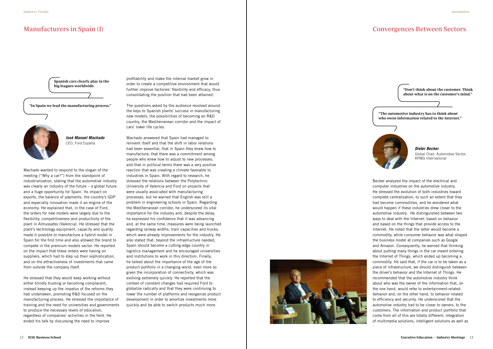# Manufacturers in Spain (I)

Machado wanted to respond to the slogan of the meeting ("Why a car?") from the standpoint of industrialization, stating that the automotive industry was clearly an industry of the future – a global future and a huge opportunity for Spain. Its impact on exports, the balance of payments, the country's GDP and especially innovation made it an engine of the economy. He explained that, in the case of Ford, the orders for new models were largely due to the flexibility, competitiveness and productivity of the plant in Almussafes (Valencia). He stressed that the plant's technology equipment, capacity and quality made it possible to manufacture a hybrid model in Spain for the first time and also allowed the brand to compete in the premium models sector. He reported on the impact that these orders were having on suppliers, which had to step up their sophistication, and on the attractiveness of investments that came from outside the company itself.

He stressed that they would keep working without either blindly trusting or becoming complacent, instead keeping up the impetus of the reforms they had undertaken, promoting R&D focused on the manufacturing process. He stressed the importance of training and the need for universities and governments to produce the necessary levels of education, regardless of companies' activities in the field. He ended his talk by discussing the need to improve

profitability and make the internal market grow in order to create a competitive environment that would further improve factories' flexibility and efficacy, thus consolidating the position that had been attained.

The questions asked by the audience revolved around the keys to Spanish plants' success in manufacturing new models, the possibilities of becoming an R&D country, the Mediterranean corridor and the impact of cars' lower life cycles.

Machado answered that Spain had managed to reinvent itself and that the shift in labor relations had been essential; that in Spain they knew how to manufacture; that there was a commitment among people who knew how to adjust to new processes; and that in political terms there was a very positive reaction that was creating a climate favorable to industries in Spain. With regard to research, he stressed the relations between the Polytechnic University of Valencia and Ford on projects that were usually associated with manufacturing processes, but he warned that English was still a problem in engineering schools in Spain. Regarding the Mediterranean corridor, he underscored its vital importance for the industry and, despite the delay, he expressed his confidence that it was advancing and, at the same time, measures were being launched regarding railway widths, train capacities and trucks, which were already improvements for the industry. He also stated that, beyond the infrastructure needed, Spain should become a cutting-edge country in logistics management and he encouraged universities and institutions to work in this direction. Finally, he talked about the importance of the age of the product portfolio in a changing world, even more so given the incorporation of connectivity, which was evolving extremely quickly. He reported that the context of constant changes had required Ford to globalize radically and that they were continuing to lower the number of platforms and reorganize product development in order to amortize investments more quickly and be able to switch products much more.







"The automotive industry has to think about who owns information related to the Internet."



"Don't think about the customer. Think about what is on the customer's mind."

Spanish cars clearly play in the big leagues worldwide.

> *José Manuel Machado* CEO, Ford España

> > *Dieter Becker* Global Chair, Automotive Sector, KPMG International

# Convergences Between Sectors

Becker analyzed the impact of the electrical and computer industries on the automotive industry. He stressed the evolution of both industries toward complete centralization, to such an extent that they had become commodities, and he wondered what would happen if these industries drew closer to the automotive industry. He distinguished between two ways to deal with the Internet: based on behavior and based on the things that provide access to the Internet. He noted that the latter would become a commodity, while consumer behavior was what shaped the business model at companies such as Google and Amazon. Consequently, he warned that thinking about putting many things in the car meant entering the Internet of Things, which ended up becoming a commodity. He said that, if the car is to be taken as a piece of infrastructure, we should distinguish between the driver's behavior and the Internet of Things. He recommended that the automotive industry think about who was the owner of the information that, on the one hand, would refer to entertainment-related behavior and, on the other hand, to behavior related to efficiency and security. He underscored that the automotive industry had to be closer to owners, to the customers. The information and product portfolio that come from all of this are totally different: integration of multimedia solutions, intelligent solutions as well as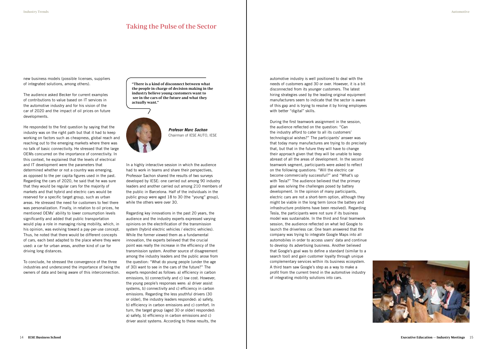# Taking the Pulse of the Sector

new business models (possible licenses, suppliers of integrated solutions, among others).

The audience asked Becker for current examples of contributions to value based on IT services in the automotive industry and for his vision of the car of 2020 and the impact of oil prices on future developments.

He responded to the first question by saying that the industry was on the right path but that it had to keep working on factors such as cheapness, global reach and reaching out to the emerging markets where there was no talk of basic connectivity. He stressed that the large OEMs concurred on the importance of connectivity. In this context, he explained that the levels of electrical and IT development were the parameters that determined whether or not a country was emerging, as opposed to the per capita figures used in the past. Regarding the cars of 2020, he said that he was sure that they would be regular cars for the majority of markets and that hybrid and electric cars would be reserved for a specific target group, such as urban areas. He stressed the need for customers to feel there was personalization. Finally, in relation to oil prices, he mentioned OEMs' ability to lower consumption levels significantly and added that public transportation would play a role in managing rising mobility, which, in his opinion, was evolving toward a pay-per-use concept. Thus, he noted that there would be different concepts of cars, each best adapted to the place where they were used: a car for urban areas, another kind of car for driving long distances.

To conclude, he stressed the convergence of the three industries and underscored the importance of being the owners of data and being aware of this interconnection.

In a highly interactive session in which the audience had to work in teams and share their perspectives, Professor Sachon shared the results of two surveys developed by IESE: one carried out among 90 industry leaders and another carried out among 210 members of the public in Barcelona. Half of the individuals in the public group were aged 18 to 30 (the "young" group), while the others were over 30.

Regarding key innovations in the past 20 years, the audience and the industry experts expressed varying opinions on the electrification of the transmission system (hybrid electric vehicles / electric vehicles). While the former viewed them as a fundamental innovation, the experts believed that the crucial point was really the increase in the efficiency of the transmission system. Another source of disagreement among the industry leaders and the public arose from the question: "What do young people (under the age of 30) want to see in the cars of the future?" The experts responded as follows: a) efficiency in carbon emissions, b) connectivity and c) low cost. However, the young people's responses were: a) driver assist systems, b) connectivity and c) efficiency in carbon emissions. Regarding the less youthful drivers (30 or older), the industry leaders responded: a) safety, b) efficiency in carbon emissions and c) comfort. In turn, the target group (aged 30 or older) responded: a) safety, b) efficiency in carbon emissions and c) driver assist systems. According to these results, the

automotive industry is well positioned to deal with the needs of customers aged 30 or over. However, it is a bit disconnected from its younger customers. The latest hiring strategies used by the leading original equipment manufacturers seem to indicate that the sector is aware of this gap and is trying to resolve it by hiring employees with better "digital" skills.

During the first teamwork assignment in the session, the audience reflected on the question: "Can the industry afford to cater to all its customers' technological wishes?" The participants' answer was that today many manufactures are trying to do precisely that, but that in the future they will have to change their approach given that they will be unable to keep abreast of all the areas of development. In the second teamwork segment, participants were asked to reflect on the following questions: "Will the electric car become commercially successful?" and "What's up with Tesla?" The audience believed that the primary goal was solving the challenges posed by battery development. In the opinion of many participants, electric cars are not a short-term option, although they might be viable in the long term (once the battery and infrastructure problems have been resolved). Regarding Tesla, the participants were not sure if its business model was sustainable. In the third and final teamwork session, the audience reflected on what led Google to launch the driverless car. One team answered that the company was trying to integrate Google Maps into all automobiles in order to access users' data and continue to develop its advertising business. Another believed that Google's goal was to define a standard (similar to a search tool) and gain customer loyalty through unique complementary services within its business ecosystem. A third team saw Google's step as a way to make a profit from the current trend in the automotive industry of integrating mobility solutions into cars.



*Profesor Marc Sachon* Chairman of IESE AUTO, IESE

"There is a kind of disconnect between what the people in charge of decision making in the industry believe young customers want to see in the cars of the future and what they actually want."

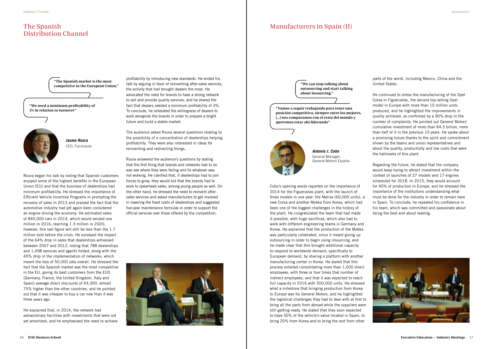# The Spanish Distribution Channel

# Manufacturers in Spain (II)

Roura began his talk by noting that Spanish customers enjoyed some of the highest benefits in the European Union (EU) and that the business of dealerships had minimum profitability. He stressed the importance of Efficient Vehicle Incentive Programs in prompting the recovery of sales in 2013 and praised the fact that the automotive industry had yet again been considered an engine driving the economy. He estimated sales of 845,000 cars in 2014, which would exceed one million in 2016, reaching 1.3 million in 2020; however, this last figure will still be less than the 1.7 million sold before the crisis. He surveyed the impact of the 64% drop in sales that dealerships witnessed between 2007 and 2012, noting that 788 dealerships and 1,498 services and agents folded, along with the 45% drop in the implementation of networks, which meant the loss of 50,000 jobs overall. He stressed the fact that the Spanish market was the most competitive in the EU, giving its best customers from the EU5 (Germany, France, the United Kingdom, Italy and Spain) average direct discounts of €4,300, almost 75% higher than the other countries, and he pointed out that it was cheaper to buy a car now than it was three years ago.

He explained that, in 2014, the network had extraordinary facilities with investments that were not yet amortized, and he emphasized the need to achieve Cobo's opening words reported on the importance of 2014 for the Figueruelas plant, with the launch of three models in one year: the Meriva (60,000 units), a new Corsa and another Mokka from Korea, which had been one of the biggest challenges in the history of the plant. He congratulated the team that had made it possible, with huge sacrifices, which also had to work with different engineering teams in Germany and Korea. He explained that the production of the Mokka was particularly celebrated, since it meant giving up outsourcing in order to begin using insourcing, and he made clear that this brought additional capacity to respond to worldwide demand, specifically to European demand, by sharing a platform with another manufacturing center in Korea. He stated that this process entailed consolidating more than 1,000 direct employees, with three or four times that number of indirect employees, and that it was expected to reach full capacity in 2016 with 500,000 units. He stressed what a milestone that bringing production from Korea to Europe was for General Motors, and he highlighted the logistical challenges they had to deal with at first to bring all the parts from abroad while the suppliers were still getting ready. He stated that they soon expected to have 50% of the vehicle's value located in Spain, to bring 20% from Korea and to bring the rest from other

profitability by introducing new standards. He ended his talk by arguing in favor of reinventing after-sales services,<br>
competitive in the European Union." Talk by arguing in favor of reinventing after-sales services, the activity that had brought dealers the most. He advocated the need for brands to have a strong network to sell and provide quality services, and he shared the fact that dealers needed a minimum profitability of 3%. To conclude, he reiterated the willingness of dealers to the concludered and the willingness of dealers to the manufacture of the manufacture of the manufacture of the manufacture of the manufacture of the manufacture of t work alongside the brands in order to prepare a bright future and build a stable market.

> The audience asked Roura several questions relating to the possibility of a concentration of dealerships helping profitability. They were also interested in ideas for reinventing and redirecting things.

> Roura answered the audience's questions by stating that the first thing that brands and networks had to do was see where they were failing and fix whatever was not working. He clarified that, if dealerships had to join forces to grow, they would but that the brands had to work to spearhead sales, among young people as well. On the other hand, he stressed the need to reinvent aftersales services and asked manufacturers to get involved in lowering the fixed costs of dealerships and suggested five-year maintenance formulas in order to support the official services over those offered by the competition.



parts of the world, including Mexico, China and the United States.

He continued to stress the manufacturing of the Opel Corsa in Figueruelas, the second top-selling Opel model in Europe with more than 10 million units produced, and he highlighted the improvements in quality achieved, as confirmed by a 90% drop in the number of complaints. He pointed out General Motors' cumulative investment of more than €4.5 billion, more than half of it in the previous 10 years. He spoke about a promising future thanks to the spirit and commitment shown by the teams and union representatives and about the quality, productivity and low costs that were the hallmarks of this plant.

Regarding the future, he stated that the company would keep trying to attract investment within the context of launches of 27 models and 17 engines scheduled for 2018. In 2015, they would account for 40% of production in Europe, and he stressed the importance of the institutions understanding what must be done for the industry in order to remain here in Spain. To conclude, he repeated his confidence in his team, which was committed and passionate about being the best and about leading.



"We need a minimum profitability of



posición competitiva, siempre entre los mejores, [...] nos comparamos con el resto del mundo y queremos estar ahí liderando"

"The Spanish market is the most

outsourcing and start talking about insourcing."

*Jaume Roura* CEO, Faconauto



*Antonio J. Cobo* General Manager, General Motors España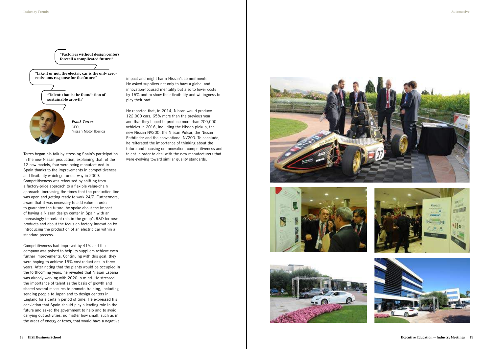Torres began his talk by stressing Spain's participation in the new Nissan production, explaining that, of the 12 new models, four were being manufactured in Spain thanks to the improvements in competitiveness and flexibility which got under way in 2009. Competitiveness was refocused by shifting from a factory-price approach to a flexible value-chain approach, increasing the times that the production line was open and getting ready to work 24/7. Furthermore, aware that it was necessary to add value in order to guarantee the future, he spoke about the impact of having a Nissan design center in Spain with an increasingly important role in the group's R&D for new products and about the focus on factory innovation by introducing the production of an electric car within a standard process.

Competitiveness had improved by 41% and the company was poised to help its suppliers achieve even further improvements. Continuing with this goal, they were hoping to achieve 15% cost reductions in three years. After noting that the plants would be occupied in the forthcoming years, he revealed that Nissan España was already working with 2020 in mind. He stressed the importance of talent as the basis of growth and shared several measures to promote training, including sending people to Japan and to design centers in England for a certain period of time. He expressed his conviction that Spain should play a leading role in the future and asked the government to help and to avoid carrying out activities, no matter how small, such as in the areas of energy or taxes, that would have a negative

impact and might harm Nissan's commitments. He asked suppliers not only to have a global and innovation-focused mentality but also to lower costs by 15% and to show their flexibility and willingness to play their part.

He reported that, in 2014, Nissan would produce 122,000 cars, 65% more than the previous year and that they hoped to produce more than 200,000 vehicles in 2016, including the Nissan pickup, the new Nissan NV200, the Nissan Pulsar, the Nissan Pathfinder and the conventional NV200. To conclude, he reiterated the importance of thinking about the future and focusing on innovation, competitiveness and talent in order to deal with the new manufacturers that were evolving toward similar quality standards.











"Like it or not, the electric car is the only zeroemissions response for the future."

> "Talent: that is the foundation of sustainable growth"



"Factories without design centers foretell a complicated future."

> *Frank Torres* CEO, Nissan Motor Ibérica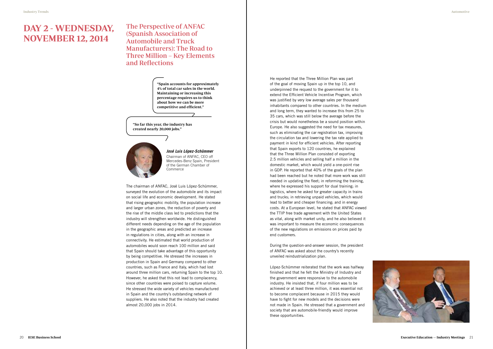# DAY 2 - WEDNESDAY, NOVEMBER 12, 2014

# The Perspective of ANFAC (Spanish Association of Automobile and Truck Manufacturers): The Road to Three Million – Key Elements and Reflections

The chairman of ANFAC, José Luis López-Schümmer, surveyed the evolution of the automobile and its impact on social life and economic development. He stated that rising geographic mobility, the population increase and larger urban zones, the reduction of poverty and the rise of the middle class led to predictions that the industry will strengthen worldwide. He distinguished different needs depending on the age of the population in the geographic areas and predicted an increase in regulations in cities, along with an increase in connectivity. He estimated that world production of automobiles would soon reach 100 million and said that Spain should take advantage of this opportunity by being competitive. He stressed the increases in production in Spain and Germany compared to other countries, such as France and Italy, which had lost around three million cars, returning Spain to the top 10. However, he asked that this not lead to complacency, since other countries were poised to capture volume. He stressed the wide variety of vehicles manufactured in Spain and the country's outstanding network of suppliers. He also noted that the industry had created almost 20,000 jobs in 2014.

He reported that the Three Million Plan was part of the goal of moving Spain up in the top 10, and underpinned the request to the government for it to extend the Efficient Vehicle Incentive Program, which was justified by very low average sales per thousand inhabitants compared to other countries. In the medium and long term, they wanted to increase this from 25 to 35 cars, which was still below the average before the crisis but would nonetheless be a sound position within Europe. He also suggested the need for tax measures, such as eliminating the car registration tax, improving the circulation tax and lowering the tax rate applied to payment in kind for efficient vehicles. After reporting that Spain exports to 120 countries, he explained that the Three Million Plan consisted of exporting 2.5 million vehicles and selling half a million in the domestic market, which would yield a one-point rise in GDP. He reported that 40% of the goals of the plan had been reached but he noted that more work was still needed in updating the fleet; in reforming the training, where he expressed his support for dual training; in logistics, where he asked for greater capacity in trains and trucks; in retrieving unpaid vehicles, which would lead to better and cheaper financing; and in energy costs. At a European level, he stated that ANFAC viewed the TTIP free trade agreement with the United States as vital, along with market unity, and he also believed it was important to measure the economic consequences of the new regulations on emissions on prices paid by end customers.

During the question-and-answer session, the president of ANFAC was asked about the country's recently unveiled reindustrialization plan.

López-Schümmer reiterated that the work was halfway finished and that he felt the Ministry of Industry and the government were responsive to the automobile industry. He insisted that, if four million was to be achieved or at least three million, it was essential not to become complacent because in 2015 they would have to fight for new models and the decisions were not made in Spain. He stressed that a government and society that are automobile-friendly would improve these opportunities.



"Spain accounts for approximately 4% of total car sales in the world. Maintaining or increasing this percentage requires us to think about how we can be more competitive and efficient."

"So far this year, the industry has created nearly 20,000 jobs."



*José Luis López-Schümmer* Chairman of ANFAC, CEO off Mercedes-Benz Spain, President of the German Chamber of Commerce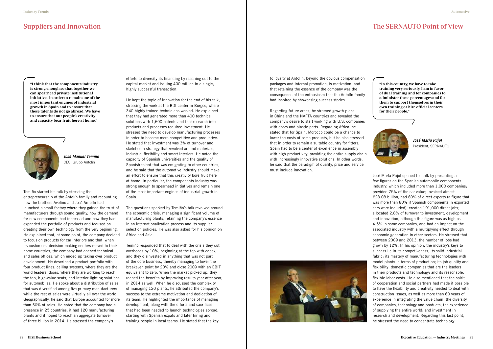Temiño started his talk by stressing the entrepreneurship of the Antolín family and recounting how the brothers Avelino and José Antolín had launched a small factory where they gained the trust of manufacturers through sound quality, how the demand for new components had increased and how they had expanded the portfolio of products and focused on creating their own technology from the very beginning. He explained that, at some point, the company decided to focus on products for car interiors and that, when its customers' decision-making centers moved to their home countries, the company had opened technical and sales offices, which ended up taking over product development. He described a product portfolio with four product lines: ceiling systems, where they are the world leaders; doors, where they are working to reach the top; high-value seats; and interior lighting solutions for automobiles. He spoke about a distribution of sales that was diversified among five primary manufacturers while the rest of sales were virtually all over the world. Geographically, he said that Europe accounted for more than 50% of sales. He noted that the company had a presence in 25 countries, it had 120 manufacturing plants and it hoped to reach an aggregate turnover of three billion in 2014. He stressed the company's

José María Pujol opened his talk by presenting a few figures on the Spanish automobile components industry, which included more than 1,000 companies; provided 75% of the car value; invoiced almost €28.08 billion; had 60% of direct exports (a figure that was more than 80% if Spanish components in exported cars were included); created 191,000 direct jobs; allocated 2.8% of turnover to investment, development and innovation, although this figure was as high as 4.5% in some companies; and had an impact on the associated industry with a multiplying effect through economic generation in other sectors. He stressed that between 2009 and 2013, the number of jobs had grown by 12%. In his opinion, the industry's keys to success lie in its competiveness; its solid industrial fabric; its mastery of manufacturing technologies with model plants in terms of production; its job quality and flexibility; domestic companies that are the leaders in their products and technology; and its reasonable, flexible labor costs. He also mentioned that the spirit of cooperation and social partners had made it possible to have the flexibility and creativity needed to deal with construction issues, as well as more than 60 years of experience in integrating the value chain; the diversity of companies, technology and products; the experience of supplying the entire world; and investment in research and development. Regarding this last point, he stressed the need to concentrate technology

efforts to diversify its financing by reaching out to the capital market and issuing 400 million in a single, highly successful transaction.

He kept the topic of innovation for the end of his talk, stressing the work at the RDI center in Burgos, where 340 highly trained technicians worked. He explained that they had generated more than 400 technical solutions with 1,600 patents and that research into products and processes required investment. He stressed the need to develop manufacturing processes in order to become more competitive and productive. He stated that investment was 3% of turnover and sketched a strategy that revolved around materials, industrial flexibility and smart interiors. He noted the capacity of Spanish universities and the quality of Spanish talent that was emigrating to other countries, and he said that the automotive industry should make an effort to ensure that this creativity bore fruit here at home. In particular, the components industry was strong enough to spearhead initiatives and remain one of the most important engines of industrial growth in Spain.

The questions sparked by Temiño's talk revolved around the economic crisis, managing a significant volume of manufacturing plants, retaining the company's essence in an internationalization process and its supplier selection policies. He was also asked for his opinion on Africa and Asia.

Temiño responded that to deal with the crisis they cut overheads by 10%, beginning at the top with capex, and they disinvested in anything that was not part of the core business, thereby managing to lower the breakeven point by 20% and close 2009 with an EBIT equivalent to zero. When the market picked up, they reaped the benefits by improving results year after year, in 2014 as well. When he discussed the complexity of managing 120 plants, he attributed the company's success to the extreme motivation and dedication of its team. He highlighted the importance of managing development, along with the efforts and sacrifices that had been needed to launch technologies abroad, starting with Spanish expats and later hiring and training people in local teams. He stated that the key

to loyalty at Antolín, beyond the obvious compensation packages and internal promotion, is motivation, and that retaining the essence of the company was the consequence of the enthusiasm that the Antolín family had inspired by showcasing success stories.

Regarding future areas, he stressed growth plans in China and the NAFTA countries and revealed the company's desire to start working with U.S. companies with doors and plastic parts. Regarding Africa, he stated that for Spain, Morocco could be a chance to lower the costs of some products, but he also stressed that in order to remain a suitable country for fitters, Spain had to be a center of excellence in assembly with high productivity, providing the entire supply chain with increasingly innovative solutions. In other words, he said that the paradigm of quality, price and service must include innovation.



# Suppliers and Innovation **Suppliers** and Innovation **The SERNAUTO** Point of View

"I think that the components industry is strong enough so that together we can spearhead private institutional initiatives in order to remain one of the most important engines of industrial growth in Spain and to ensure that these talents do not go abroad. We have to ensure that our people's creativity and capacity bear fruit here at home."

"In this country, we have to take training very seriously. I am in favor of dual training and for companies to administer these percentages and for them to support themselves in their own training or hire official centers for their people."





*José Manuel Temiño* CEO, Grupo Antolin

*José María Pujol* President, SERNAUTO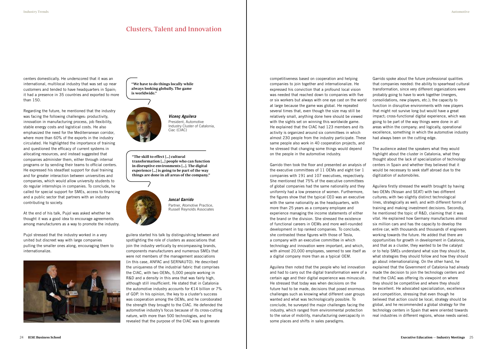centers domestically. He underscored that it was an international, multilocal industry that was set up near customers and tended to have headquarters in Spain; it had a presence in 35 countries and exported to more than 150.

Regarding the future, he mentioned that the industry was facing the following challenges: productivity, innovation in manufacturing process, job flexibility, stable energy costs and logistical costs. He also emphasized the need for the Mediterranean corridor, where more than 60% of the exports in the industry circulated. He highlighted the importance of training and questioned the efficacy of current systems in allocating resources, and instead suggested that companies administer them, either through internal programs or by sending their teams to official centers. He expressed his steadfast support for dual training and for greater interaction between universities and companies, which would allow university students to do regular internships in companies. To conclude, he called for special support for SMEs, access to financing and a public sector that partners with an industry contributing to society.

Pujol stressed that the industry worked in a very united but discreet way with large companies pulling the smaller ones along, encouraging them to internationalize.



At the end of his talk, Pujol was asked whether he thought it was a good idea to encourage agreements among manufacturers as a way to promote the industry.

# Clusters, Talent and Innovation

guilera started his talk by distinguishing between and spotlighting the role of clusters as associations that join the industry vertically by encompassing brands, components manufacturers and numerous SMEs that were not members of the management associations (in this case, ANFAC and SERNAUTO). He described the uniqueness of the industrial fabric that comprises the CIAC, with two OEMs, 5,000 people working in R&D and a density in this area that was fairly high, although still insufficient. He stated that in Catalonia the automotive industry accounts for €14 billion or 7% of GDP. In his opinion, the key to a cluster's success was cooperation among the OEMs, and he corroborated the strength they brought to the CIAC. He defended the automotive industry's focus because of its cross-cutting nature, with more than 500 technologies, and he revealed that the purpose of the CIAC was to generate

"The skill to effect […] cultural transformation […] people who can function in disruptive environments […]. The digital experience […] is going to be part of the way things are done in all areas of the company."



"We have to do things locally while always looking globally. The game is worldwide."



*Juncal Garrido* Partner, Atomotive Practice, Russell Reynolds Associates

*Vicenç Aguilera* President, Automotive Industry Cluster of Catalonia, Ciac (CIAC)

competitiveness based on cooperation and helping companies to join together and internationalize. He expressed his conviction that a profound local vision was needed that reached down to companies with five or six workers but always with one eye cast on the world at large because the game was global. He repeated several times that, even though the size may still be relatively small, anything done here should be viewed with the sights set on winning this worldwide game. He explained that the CIAC had 123 members and its activity is organized around six committees in which almost 230 people from the industry participate. These same people also work in 40 cooperation projects, and he stressed that changing some things would depend on the people in the automotive industry.

Garrido then took the floor and presented an analysis of the executive committees of 11 OEMs and eight tier 1 companies with 191 and 107 executives, respectively. She mentioned that 75% of the executive committees of global companies had the same nationality and they uniformly had a low presence of women. Furthermore, the figures show that the typical CEO was an executive with the same nationality as the headquarters, with more than 25 years as a company employee and experience managing the income statements of either the brand or the division. She stressed the existence of functional careers in OEMs and more well-rounded development in top ranked companies. To conclude, she contrasted these figures with those of Tesla, a company with an executive committee in which technology and innovation were important, and which, with almost 20,000 employees, seemed to see itself as a digital company more than as a typical OEM.

Aguilera then noted that the people who led innovation and had to carry out the digital transformation were of a certain age and their digital experience was minuscule. He stressed that today was when decisions on the future had to be made, decisions that posed enormous challenges such as knowing what different user groups wanted and what was technologically possible. To conclude, he surveyed the major challenges facing the industry, which ranged from environmental protection to the value of mobility, manufacturing overcapacity in some places and shifts in sales paradigms.

Garrido spoke about the future professional qualities that companies needed: the ability to spearhead cultural transformation, since very different organizations were probably going to have to work together (mergers, consolidations, new players, etc.); the capacity to function in disruptive environments with new players that might not survive long but would have a great impact; cross-functional digital experience, which was going to be part of the way things were done in all areas within the company; and logically, operational excellence, something in which the automotive industry had always been on the cutting edge.

The audience asked the speakers what they would highlight about the cluster in Catalonia, what they thought about the lack of specialization of technology centers in Spain and whether they believed that it would be necessary to seek staff abroad due to the digitization of automobiles.

Aguilera firstly stressed the wealth brought by having two OEMs (Nissan and SEAT) with two different cultures; with two slightly distinct technological lines, strategically as well; and with different forms of training and making investment decisions. Secondly, he mentioned the topic of R&D, claiming that it was vital. He explained how Germany manufactures almost six million cars and has the capacity to develop the entire car, with thousands and thousands of engineers working towards the future. He added that there are opportunities for growth in development in Catalonia, and that as a cluster, they wanted to be the catalyst or to help SMEs understand what size they should be, what strategies they should follow and how they should go about internationalizing. On the other hand, he explained that the Government of Catalonia had already made the decision to join the technology centers and that the CIAC was offering its viewpoint on where they should be competitive and where they should be excellent. He advocated specialization, excellence and competition, stressing that even though he believed that action could be local, strategy should be global, and he recommended a global strategy for the technology centers in Spain that were oriented towards real industries in different regions, whose needs varied.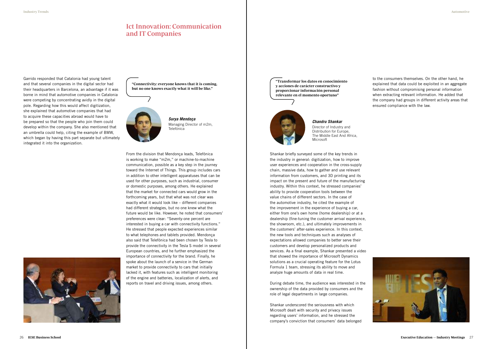Garrido responded that Catalonia had young talent and that several companies in the digital sector had their headquarters in Barcelona, an advantage if it was borne in mind that automotive companies in Catalonia were competing by concentrating avidly in the digital pole. Regarding how this would affect digitization, she explained that automotive companies that had to acquire these capacities abroad would have to be prepared so that the people who join them could develop within the company. She also mentioned that an umbrella could help, citing the example of BMW, which began by having this part separate but ultimately integrated it into the organization.



# Ict Innovation: Communication and IT Companies



*Surya Mendoça* Managing Director of m2m, Telefónica

*Chandru Shankar* Director of Industry and Distribution for Europe, The Middle East And Africa,

Microsoft

"Connectivity: everyone knows that it is coming, but no one knows exactly what it will be like."

"Transformar los datos en conocimiento y acciones de carácter constructivo y proporcionar información personal relevante en el momento oportuno"



Shankar briefly surveyed some of the key trends in the industry in general: digitization, how to improve user experiences and cooperation in the cross-supply chain, massive data, how to gather and use relevant information from customers, and 3D printing and its impact on the present and future of the manufacturing industry. Within this context, he stressed companies' ability to provide cooperation tools between the value chains of different sectors. In the case of the automotive industry, he cited the example of the improvement in the experience of buying a car, either from one's own home (home dealership) or at a dealership (fine-tuning the customer arrival experience, the showroom, etc.), and ultimately improvements in the customers' after-sales experience. In this context, the new tools and techniques such as analyses of expectations allowed companies to better serve their customers and develop personalized products and services. As a final example, Shankar presented a video that showed the importance of Microsoft Dynamics solutions as a crucial operating feature for the Lotus Formula 1 team, stressing its ability to move and analyze huge amounts of data in real time.

During debate time, the audience was interested in the ownership of the data provided by consumers and the role of legal departments in large companies.

Shankar underscored the seriousness with which Microsoft dealt with security and privacy issues regarding users' information, and he stressed the company's conviction that consumers' data belonged

to the consumers themselves. On the other hand, he explained that data could be exploited in an aggregate fashion without compromising personal information when extracting relevant information. He added that the company had groups in different activity areas that ensured compliance with the law.



From the division that Mendonça leads, Telefónica is working to make "m2m," or machine-to-machine communication, possible as a key step in the journey toward the Internet of Things. This group includes cars in addition to other intelligent apparatuses that can be used for other purposes, such as industrial, consumer or domestic purposes, among others. He explained that the market for connected cars would grow in the forthcoming years, but that what was not clear was exactly what it would look like – different companies had different strategies, but no one knew what the future would be like. However, he noted that consumers' preferences were clear: "Seventy-one percent are interested in buying a car with connectivity functions." He stressed that people expected experiences similar to what telephones and tablets provided. Mendonça also said that Telefónica had been chosen by Tesla to provide the connectivity in the Tesla S model in several European countries, and he further emphasized the importance of connectivity for the brand. Finally, he spoke about the launch of a service in the German market to provide connectivity to cars that initially lacked it, with features such as intelligent monitoring of the engine and batteries, localization of alerts, and reports on travel and driving issues, among others.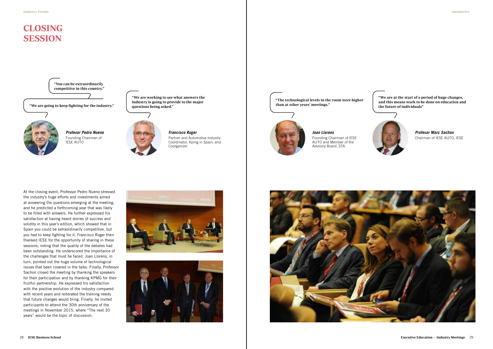# CLOSING SESSION

At the closing event, Professor Pedro Nueno stressed the industry's huge efforts and investments aimed at answering the questions emerging at the meeting, and he predicted a forthcoming year that was likely to be filled with answers. He further expressed his satisfaction at having heard stories of success and solidity in this year's edition, which showed that in Spain you could be extraordinarily competitive, but you had to keep fighting for it. Francisco Roger then thanked IESE for the opportunity of sharing in these sessions, noting that the quality of the debates had been outstanding. He underscored the importance of the challenges that must be faced. Joan Llorens, in turn, pointed out the huge volume of technological issues that been covered in the talks. Finally, Professor Sachon closed the meeting by thanking the speakers for their participation and by thanking KPMG for their fruitful partnership. He expressed his satisfaction with the positive evolution of the industry compared with recent years and reiterated the training needs that future changes would bring. Finally, he invited participants to attend the 30th anniversary of the meetings in November 2015, where "The next 30 years" would be the topic of discussion.







*Profesor Pedro Nueno* Founding Chairman of IESE AUTO

*Francisco Roger*

Partner and Automotive Industry Coordinator, Kpmg in Spain, and Coorganizer

*Joan Llorens* Founding Chairman of IESE AUTO and Member of the

Advisory Board, STA



*Profesor Marc Sachon* Chairman of IESE AUTO, IESE

"The technological levels in the room were higher than at other years' meetings."



"We are working to see what answers the industry is going to provide to the major questions being asked." the future of individuals" "We are going to keep fighting for the industry."



"We are at the start of a period of huge changes, and this means work to be done on education and



"You can be extraordinarily competitive in this country."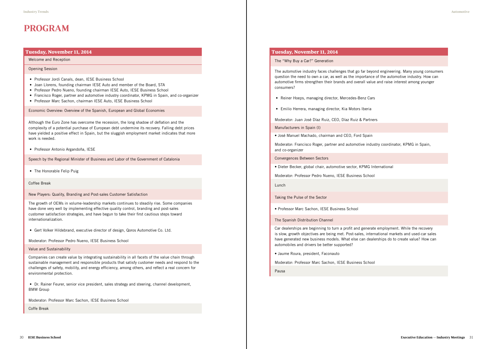# PROGRAM

# Tuesday, November 11, 2014

Welcome and Reception

Opening Session

- Professor Jordi Canals, dean, IESE Business School
- Joan Llorens, founding chairman IESE Auto and member of the Board, STA
- Professor Pedro Nueno, founding chairman IESE Auto, IESE Business School
- Francisco Roger, partner and automotive industry coordinator, KPMG in Spain, and co-organizer
- Professor Marc Sachon, chairman IESE Auto, IESE Business School

Economic Overview: Overview of the Spanish, European and Global Economies

Although the Euro Zone has overcome the recession, the long shadow of deflation and the complexity of a potential purchase of European debt undermine its recovery. Falling debt prices have yielded a positive effect in Spain, but the sluggish employment market indicates that more work is needed.

• Professor Antonio Argandoña, IESE

Speech by the Regional Minister of Business and Labor of the Government of Catalonia

• The Honorable Felip Puig

Coffee Break

New Players: Quality, Branding and Post-sales Customer Satisfaction

The growth of OEMs in volume-leadership markets continues to steadily rise. Some companies have done very well by implementing effective quality control, branding and post-sales customer satisfaction strategies, and have begun to take their first cautious steps toward internationalization.

• Gert Volker Hildebrand, executive director of design, Qoros Automotive Co. Ltd.

Moderator: Professor Pedro Nueno, IESE Business School

## Value and Sustainability

Companies can create value by integrating sustainability in all facets of the value chain through sustainable management and responsible products that satisfy customer needs and respond to the challenges of safety, mobility, and energy efficiency, among others, and reflect a real concern for environmental protection.

• Dr. Rainer Feurer, senior vice president, sales strategy and steering, channel development, BMW Group

Moderator: Professor Marc Sachon, IESE Business School

Coffe Break

# Tuesday, November 11, 2014

The "Why Buy a Car?" Generation

The automotive industry faces challenges that go far beyond engineering. Many young consumers question the need to own a car, as well as the importance of the automotive industry. How can automotive firms strengthen their brands and overall value and raise interest among younger consumers?

- Reiner Hoeps, managing director, Mercedes-Benz Cars
- Emilio Herrera, managing director, Kia Motors Iberia

Moderator: Juan José Díaz Ruiz, CEO, Díaz Ruiz & Partners

Manufacturers in Spain (I)

• José Manuel Machado, chairman and CEO, Ford Spain

Moderator: Francisco Roger, partner and automotive industry coordinator, KPMG in Spain, and co-organizer

Convergences Between Sectors

• Dieter Becker, global chair, automotive sector, KPMG International

Moderator: Professor Pedro Nueno, IESE Business School

Lunch

Taking the Pulse of the Sector

• Professor Marc Sachon, IESE Business School

The Spanish Distribution Channel

Car dealerships are beginning to turn a profit and generate employment. While the recovery is slow, growth objectives are being met. Post-sales, international markets and used-car sales have generated new business models. What else can dealerships do to create value? How can automobiles and drivers be better supported?

• Jaume Roura, president, Faconauto

Moderator: Professor Marc Sachon, IESE Business School

Pausa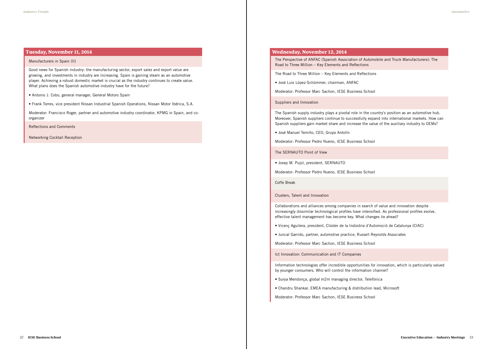# Tuesday, November 11, 2014

#### Manufacturers in Spain (II)

Good news for Spanish industry: the manufacturing sector, export sales and export value are growing, and investments in industry are increasing. Spain is gaining steam as an automotive player. Achieving a robust domestic market is crucial as the industry continues to create value. What plans does the Spanish automotive industry have for the future?

The Perspective of ANFAC (Spanish Association of Auton Road to Three Million – Key Elements and Reflections

- Antonio J. Cobo, general manager, General Motors Spain
- Frank Torres, vice president Nissan Industrial Spanish Operations, Nissan Motor Ibérica, S.A.

Moderator: Francisco Roger, partner and automotive industry coordinator, KPMG in Spain, and coorganizer

Reflections and Comments

Networking Cocktail Reception

## Wednesday, November 12, 2014

The Road to Three Million – Key Elements and Reflections

• José Luis López-Schümmer, chairman, ANFAC

Moderator: Professor Marc Sachon, IESE Business School

Suppliers and Innovation

The Spanish supply industry plays a pivotal role in the country's position as an automotive hub. Moreover, Spanish suppliers continue to successfully expand into international markets. How can Spanish suppliers gain market share and increase the value of the auxiliary industry to OEMs?

• José Manuel Temiño, CEO, Grupo Antolín

Moderator: Professor Pedro Nueno, IESE Business School

The SERNAUTO Point of View

• Josep M. Pujol, president, SERNAUTO

Moderator: Professor Pedro Nueno, IESE Business School

Coffe Break

Clusters, Talent and Innovation

Collaborations and alliances among companies in search of value and innovation despite increasingly dissimilar technological profiles have intensified. As professional profiles evolve, effective talent management has become key. What changes lie ahead?

• Vicenç Aguilera, president, Clúster de la Indústria d'Automoció de Catalunya (CIAC)

• Juncal Garrido, partner, automotive practice, Russell Reynolds Associates

Moderator: Professor Marc Sachon, IESE Business School

Ict Innovation: Communication and IT Companies

Information technologies offer incredible opportunities for innovation, which is particularly valued by younger consumers. Who will control the information channel?

- Surya Mendonça, global m2m managing director, Telefónica
- Chandru Shankar, EMEA manufacturing & distribution lead, Microsoft

Moderator: Professor Marc Sachon, IESE Business School

|  | nobile and Truck Manufacturers): The |  |
|--|--------------------------------------|--|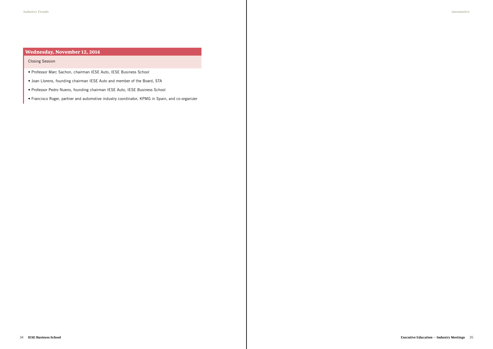# Wednesday, November 12, 2014

# Closing Session

- Professor Marc Sachon, chairman IESE Auto, IESE Business School
- Joan Llorens, founding chairman IESE Auto and member of the Board, STA
- Professor Pedro Nueno, founding chairman IESE Auto, IESE Business School
- Francisco Roger, partner and automotive industry coordinator, KPMG in Spain, and co-organizer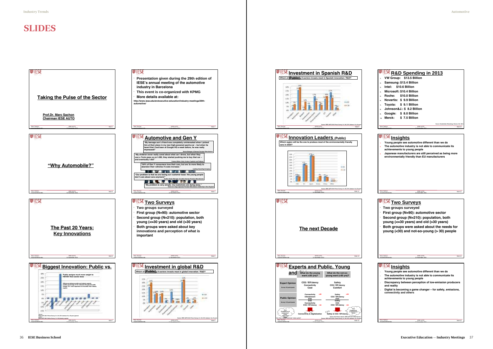# SLIDES

Marc Sachon msachon@iese.edu

> IESE AUTO Slide 12 11 November 2014

# **Two Surveys**

Marc Sachon msachon@iese.edu 11 November 2014

IESE AUTO Slide 10

- **1. VW Group: \$13.5 Billion**
- **2. Samsung: \$13.4 Billion 3. Intel: \$10.6 Billion**
- 
- **4. Microsoft: \$10.4 Billion 5. Roche: \$10.0 Billion**
- **6. Novartis: \$ 9.9 Billion**
- **7. Toyota: \$ 9.1 Billion**
- **8. Johnson&J.: \$ 8.2 Billion**
- **9. Google: \$ 8.0 Billion**
- 
- **10. Merck: \$ 7.5 Billion**

**Source: Handelsblatt, Bloomberg, Reuters; Oct. 2014**

# **Insights**

- **1. Young people see automotive different than we do 2. The automotive industry is not able to communicate its achievements to young people**
- **3. Japanese manufacturers are still perceived as being more environmentally friendly than EU manufacturers**

IESE AUTO **Slide 14** 11 November 2014

Marc Sachon msachon@iese.edu



Marc Sachon msachon@iese.edu

- **Two groups surveyed**
- **First group (N=90): automotive sector**
- **Second group (N=210): population, both**
- **young (<=30 years) and old (>30 years)**
- **Both groups were asked about the needs for young (<30) and not-so-young (> 30) people**

# **Insights**

- **1. Young people see automotive different than we do 2. The automotive industry is not able to communicate its**
- **achievements to young people**
- **3. Discrepancy between perception of low-emission producers and reality**
- **4. Digital is becoming a game changer for safety, emissions, connectivity and others**









# **R&D Spending in 2013**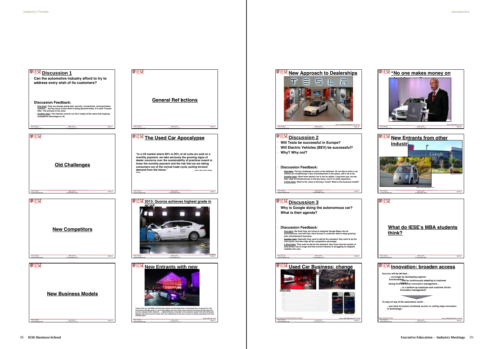IESE AUTO Slide 34





₩IESE **What do IESE's MBA students think?** Marc Sachon **IESE AUTO** Slide 31 msachon@iese.edu 11 November 2014 *<u><b>IFIESE* Innovation: broaden access</u> **Success will be def ined… …no longer by developing superior functionally adapting to custom needs ! Going from top-down innovation management…** ...to a bottom-up employee and custe

Marc Sachon msachon@iese.edu **Project: Automotive Trends Source: IESE MBA BCN 2015, Team B9**

11 November 2014



**innovation management!**

**To stay on top of the automotive world ... ...you have to ensure worldwide access to cutting edge innovation in technology!**

**Source: newsletter@teslamotors.com, 12-11-13**

▄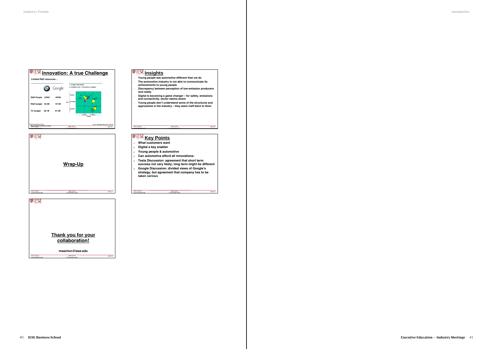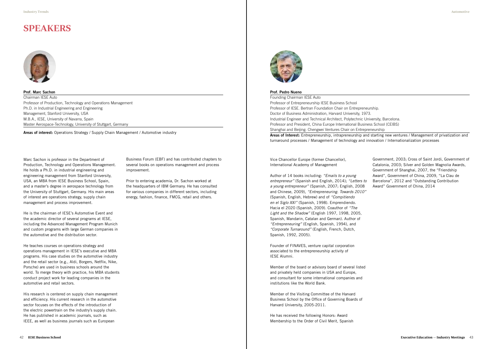Prof. Marc Sachon Chairman IESE Auto Professor of Production, Technology and Operations Management Ph.D. in Industrial Engineering and Engineering Management, Stanford University, USA M.B.A., IESE, University of Navarra, Spain Master Aerospace-Technology, University of Stuttgart, Germany

# SPEAKERS



Marc Sachon is professor in the Department of Production, Technology and Operations Management. He holds a Ph.D. in industrial engineering and engineering management from Stanford University, USA, an MBA from IESE Business School, Spain, and a master's degree in aerospace technology from the University of Stuttgart, Germany. His main areas of interest are operations strategy, supply chain management and process improvement.

He is the chairman of IESE's Automotive Event and the academic director of several programs at IESE, including the Advanced Management Program Munich and custom programs with large German companies in the automotive and the distribution sector.

He teaches courses on operations strategy and operations management in IESE's executive and MBA programs. His case studies on the automotive industry and the retail sector (e.g., Aldi, Borgers, Netflix, Nike, Porsche) are used in business schools around the world. To merge theory with practice, his MBA students conduct project work for leading companies in the automotive and retail sectors.

His research is centered on supply chain management and efficiency. His current research in the automotive sector focuses on the effects of the introduction of the electric powertrain on the industry's supply chain. He has published in academic journals, such as IEEE, as well as business journals such as European

**Areas of interest:** Operations Strategy / Supply Chain Management / Automotive industry

#### Prof. Pedro Nueno

Vice Chancellor Europe (former Chancellor), International Academy of Management

Author of 14 books including: *"Emails to a young entrepreneur"* (Spanish and English, 2014); *"Letters to a young entrepreneur"* (Spanish, 2007; English, 2008 and Chinese, 2009), *"Entrepreneuring. Towards 2010"*  (Spanish, English, Hebrew) and of *"Compitiendo en el Siglo XXI"* (Spanish, 1998). Emprendiendo. Hacia el 2020 (Spanish, 2009). Coauthor of *"The Light and the Shadow"* (English 1997, 1998, 2005, Spanish, Mandarin, Catalan and German). Author of *"Entrepreneuring"* (English, Spanish, 1994), and *"Corporate Turnaround"* (English, French, Dutch, Spanish, 1992, 2005).

Founding Chairman IESE Auto Professor of Entrepreneurship IESE Business School Professor of IESE. Bertran Foundation Chair on Entrepreneurship. Doctor of Business Administration, Harvard University, 1973. Industrial Engineer and Technical Architect, Polytechnic University, Barcelona. Professor and President, China Europe International Business School (CEIBS) Shanghai and Beijing. Chengwei Ventures Chair on Entrepreneurship Areas of Interest: Entrepreneurship, intrapreneurship and starting new ventures / Management of privatization and turnaround processes / Management of technology and innovation / Internationalization processes

Founder of FINAVES, venture capital corporation associated to the entrepreneurship activity of IESE Alumni.

Member of the board or advisory board of several listed and privately held companies in USA and Europe, and consultant for some international companies and institutions like the World Bank.

Member of the Visiting Committee of the Harvard Business School by the Office of Governing Boards of Harvard University, 2005-2011.

He has received the following Honors: Award Membership to the Order of Civil Merit, Spanish

Government, 2003; Cross of Saint Jordi, Government of Catalonia, 2003; Silver and Golden Magnolia Awards, Government of Shanghai, 2007, the "Friendship Award", Government of China, 2009, "La Clau de Barcelona", 2012 and "Outstanding Contribution Award" Government of China, 2014

Business Forum (EBF) and has contributed chapters to several books on operations management and process improvement.

Prior to entering academia, Dr. Sachon worked at the headquarters of IBM Germany. He has consulted for various companies in different sectors, including energy, fashion, finance, FMCG, retail and others.

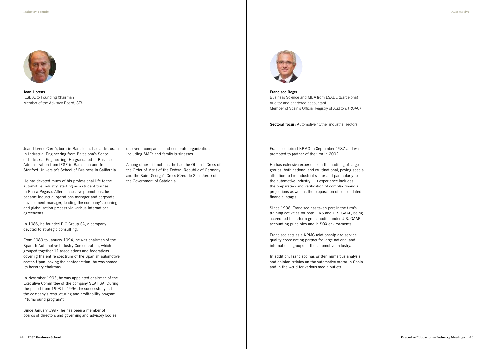

Francisco Roger Business Science and MBA from ESADE (Barcelona) Auditor and chartered accountant Member of Spain's Official Registry of Auditors (ROAC)

Sectoral focus: Automotive / Other industrial sectors

Francisco joined KPMG in September 1987 and was promoted to partner of the firm in 2002.

He has extensive experience in the auditing of large groups, both national and multinational, paying special attention to the industrial sector and particularly to the automotive industry. His experience includes the preparation and verification of complex financial projections as well as the preparation of consolidated financial stages.

Since 1998, Francisco has taken part in the firm's training activities for both IFRS and U.S. GAAP, being accredited to perform group audits under U.S. GAAP accounting principles and in SOX environments.

Francisco acts as a KPMG relationship and service quality coordinating partner for large national and international groups in the automotive industry.

In addition, Francisco has written numerous analysis and opinion articles on the automotive sector in Spain and in the world for various media outlets.

Joan Llorens IESE Auto Founding Chairman Member of the Advisory Board, STA

Joan Llorens Carrió, born in Barcelona, has a doctorate in Industrial Engineering from Barcelona's School of Industrial Engineering. He graduated in Business Administration from IESE in Barcelona and from Stanford University's School of Business in California.

He has devoted much of his professional life to the automotive industry, starting as a student trainee in Enasa Pegaso. After successive promotions, he became industrial operations manager and corporate development manager, leading the company's opening and globalization process via various international agreements.

In 1986, he founded PIC Group SA, a company devoted to strategic consulting.

From 1989 to January 1994, he was chairman of the Spanish Automotive Industry Confederation, which grouped together 11 associations and federations covering the entire spectrum of the Spanish automotive sector. Upon leaving the confederation, he was named its honorary chairman.

In November 1993, he was appointed chairman of the Executive Committee of the company SEAT SA. During the period from 1993 to 1996, he successfully led the company's restructuring and profitability program ("turnaround program").

Since January 1997, he has been a member of boards of directors and governing and advisory bodies of several companies and corporate organizations, including SMEs and family businesses.

Among other distinctions, he has the Officer's Cross of the Order of Merit of the Federal Republic of Germany and the Saint George's Cross (Creu de Sant Jordi) of the Government of Catalonia.

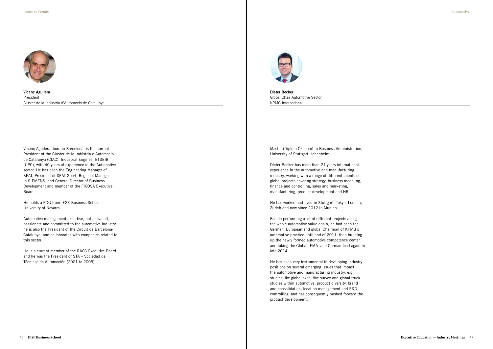

Vicenç Aguilera **President** Clúster de la Indústria d'Automoció de Catalunya

Vicenç Aguilera, born in Barcelona, is the current President of the Clúster de la Indústria d'Automoció de Catalunya (CIAC). Industrial Engineer ETSEIB (UPC), with 40 years of experience in the Automotive sector. He has been the Engineering Manager of SEAT, President of SEAT Sport, Regional Manager in SIEMENS, and General Director of Business Development and member of the FICOSA Executive Board.

He holds a PDG from IESE Business School – University of Navarra.

Automotive management expertise, but above all, passionate and committed to the automotive industry, he is also the President of the Circuit de Barcelona-Catalunya, and collaborates with companies related to this sector.

He is a current member of the RACC Executive Board and he was the President of STA – Sociedad de Técnicos de Automoción (2001 to 2005).



Dieter Becker Global Chair Automotive Sector KPMG International

Master (Diplom Ökonom) in Business Administration, University of Stuttgart Hohenheim.

Dieter Becker has more than 21 years international experience in the automotive and manufacturing industry, working with a range of different clients on global projects covering strategy, business modeling, finance and controlling, sales and marketing, manufacturing, product development and HR.

He has worked and lived in Stuttgart, Tokyo, London, Zurich and now since 2012 in Munich

Beside performing a lot of different projects along the whole automotive value chain, he had been the German, European and global Chairman of KPMG´s automotive practice until end of 2011, then building up the newly formed automotive competence center and taking the Global, EMA and German lead again in late 2014.

He has been very instrumental in developing industry positions on several emerging issues that impact the automotive and manufacturing industry, e.g. studies like global executive survey and global truck studies within automotive, product diversity, brand and consolidation, location management and R&D controlling, and has consequently pushed forward the product development.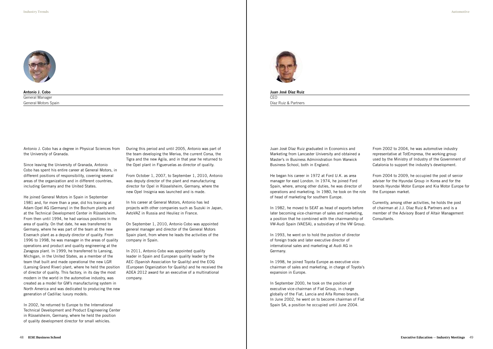

Antonio J. Cobo General Manager General Motors Spain

Antonio J. Cobo has a degree in Physical Sciences from the University of Granada.

Since leaving the University of Granada, Antonio Cobo has spent his entire career at General Motors, in different positions of responsibility, covering several areas of the organization and in different countries, including Germany and the United States.

He joined General Motors in Spain in September 1981 and, for more than a year, did his training at Adam Opel AG (Germany) in the Bochum plants and at the Technical Development Center in Rüsselsheim. From then until 1994, he had various positions in the area of quality. On that date, he was transferred to Germany, where he was part of the team at the new Eisenach plant as a deputy director of quality. From 1996 to 1998, he was manager in the areas of quality operations and product and quality engineering at the Zaragoza plant. In 1999, he transferred to Lansing, Michigan, in the United States, as a member of the team that built and made operational the new LGR (Lansing Grand River) plant, where he held the position of director of quality. This factory, in its day the most modern in the world in the automotive industry, was created as a model for GM's manufacturing system in North America and was dedicated to producing the new generation of Cadillac luxury models.

In 2002, he returned to Europe to the International Technical Development and Product Engineering Center in Rüsselsheim, Germany, where he held the position of quality development director for small vehicles.

During this period and until 2005, Antonio was part of the team developing the Meriva, the current Corsa, the Tigra and the new Agila, and in that year he returned to the Opel plant in Figueruelas as director of quality.

From October 1, 2007, to September 1, 2010, Antonio was deputy director of the plant and manufacturing director for Opel in Rüsselsheim, Germany, where the new Opel Insignia was launched and is made.

In his career at General Motors, Antonio has led projects with other companies such as Suzuki in Japan, AvtoVAZ in Russia and Heuliez in France.

On September 1, 2010, Antonio Cobo was appointed general manager and director of the General Motors Spain plant, from where he leads the activities of the company in Spain.

In 2011, Antonio Cobo was appointed quality leader in Spain and European quality leader by the AEC (Spanish Association for Quality) and the EOQ (European Organization for Quality) and he received the ADEA 2012 award for an executive of a multinational company.



Juan José Díaz Ruiz CEO

Díaz Ruiz & Partners

Juan José Díaz Ruiz graduated in Economics and Marketing from Lancaster University and obtained a Master's in Business Administration from Warwick Business School, both in England.

He began his career in 1972 at Ford U.K. as area manager for east London. In 1974, he joined Ford Spain, where, among other duties, he was director of operations and marketing. In 1980, he took on the role of head of marketing for southern Europe.

In 1982, he moved to SEAT as head of exports before later becoming vice-chairman of sales and marketing, a position that he combined with the chairmanship of VW-Audi Spain (VAESA), a subsidiary of the VW Group.

In 1993, he went on to hold the position of director of foreign trade and later executive director of international sales and marketing at Audi AG in Germany.

In 1998, he joined Toyota Europe as executive vicechairman of sales and marketing, in charge of Toyota's expansion in Europe.

In September 2000, he took on the position of executive vice-chairman of Fiat Group, in charge globally of the Fiat, Lancia and Alfa Romeo brands. In June 2002, he went on to become chairman of Fiat Spain SA, a position he occupied until June 2004.

From 2002 to 2004, he was automotive industry representative at TotEmpresa, the working group used by the Ministry of Industry of the Government of Catalonia to support the industry's development.

From 2004 to 2009, he occupied the post of senior adviser for the Hyundai Group in Korea and for the brands Hyundai Motor Europe and Kia Motor Europe for the European market.

Currently, among other activities, he holds the post of chairman at J.J. Díaz Ruiz & Partners and is a member of the Advisory Board of Altair Management Consultants.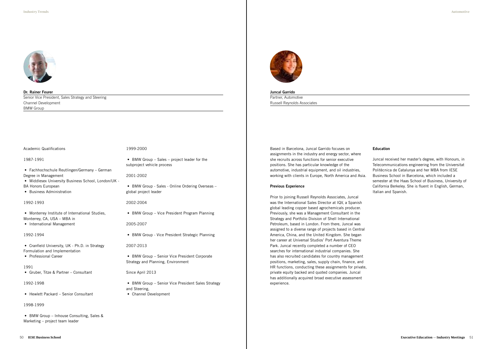

Dr. Rainer Feurer Senior Vice President, Sales Strategy and Steering Channel Development BMW Group

## Academic Qualifications

#### 1987-1991

- Fachhochschule Reutlingen/Germany German Degree in Management
- Middlesex University Business School, London/UK -
- BA Honors European
- Business Administration

## 1992-1993

- Monterrey Institute of International Studies, Monterrey, CA, USA – MBA in
- International Management

## 1992-1994

- Cranfield University, UK Ph.D. in Strategy Formulation and Implementation
- Professional Career

## 1991

- BMW Group Senior Vice President Sales Strategy and Steering,
- Channel Development

• Gruber, Titze & Partner – Consultant

## 1992-1998

• Hewlett Packard – Senior Consultant

# 1998-1999

• BMW Group – Inhouse Consulting, Sales & Marketing – project team leader

#### 1999-2000

• BMW Group – Sales – project leader for the subproject vehicle process

## 2001-2002

• BMW Group - Sales - Online Ordering Overseas – global project leader

## 2002-2004

• BMW Group - Vice President Program Planning

## 2005-2007

• BMW Group - Vice President Strategic Planning

## 2007-2013

• BMW Group – Senior Vice President Corporate Strategy and Planning, Environment

## Since April 2013

## Juncal Garrido

Partner, Automotive Russell Reynolds Associates

Based in Barcelona, Juncal Garrido focuses on assignments in the industry and energy sector, where she recruits across functions for senior executive positions. She has particular knowledge of the automotive, industrial equipment, and oil industries, working with clients in Europe, North America and Asia.

## **Previous Experience**

Prior to joining Russell Reynolds Associates, Juncal was the International Sales Director at IQV, a Spanish global leading copper based agrochemicals producer. Previously, she was a Management Consultant in the Strategy and Portfolio Division of Shell International Petroleum, based in London. From there, Juncal was assigned to a diverse range of projects based in Central America, China, and the United Kingdom. She began her career at Universal Studios' Port Aventura Theme Park. Juncal recently completed a number of CEO searches for international industrial companies. She has also recruited candidates for country management positions, marketing, sales, supply chain, finance, and HR functions, conducting these assignments for private, private equity backed and quoted companies. Juncal has additionally acquired broad executive assessment experience.

## **Education**

Juncal received her master's degree, with Honours, in Telecommunications engineering from the Universitat Politècnica de Catalunya and her MBA from IESE Business School in Barcelona, which included a semester at the Haas School of Business, University of California Berkeley. She is fluent in English, German, Italian and Spanish.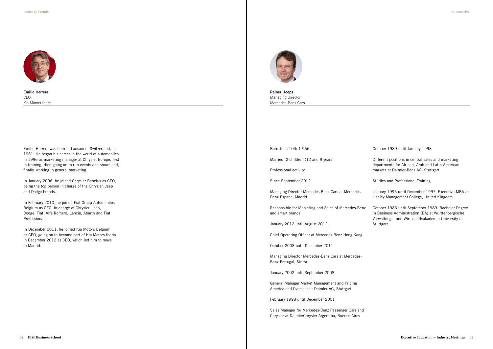

Emilio Herrera **CEO** Kia Motors Iberia

Emilio Herrera was born in Lausanne, Switzerland, in 1961. He began his career in the world of automobiles in 1996 as marketing manager at Chrysler Europe, first in training, then going on to run events and shows and, finally, working in general marketing.

In January 2006, he joined Chrysler Benelux as CEO, being the top person in charge of the Chrysler, Jeep and Dodge brands.

In February 2010, he joined Fiat Group Automobiles Belgium as CEO, in charge of Chrysler, Jeep, Dodge, Fiat, Alfa Romero, Lancia, Abarth and Fiat Professional.

In December 2011, he joined Kia Motors Belgium as CEO, going on to become part of Kia Motors Iberia in December 2012 as CEO, which led him to move to Madrid.



Reiner Hoeps Managing Director Mercedes-Benz Cars

Born June 10th 1 966.

Married, 2 children (12 and 9 years)

October 1986 until September 1989. Bachelor Degree in Business Administration (BA) at Württenbergische Verwaltungs- und Wirtschaftsakademie University in **Stuttgart** 

Professional activity

Since September 2012

Managing Director Mercedes-Benz Cars at Mercedes-Benz España, Madrid

Responsible for Marketing and Sales of Mercedes-Benz and smart brands

January 2012 until August 2012

Chief Operating Officer at Mercedes-Benz Hong Kong

October 2008 until December 2011

Managing Director Mercedes-Benz Cars at Mercedes-Benz Portugal, Sintra

January 2002 until September 2008

General Manager Market Management and Pricing America and Overseas at Daimler AG, Stuttgart

February 1998 until December 2001

Sales Manager for Mercedes-Benz Passenger Cars and Chrysler at DaimlerChrysler Argentina, Buenos Aires

October 1989 until January 1998

Different positions in central sales and marketing departments for African, Arab and Latin American markets at Daimler-Benz AG, Stuttgart

Studies and Professional Training

January 1996 until December 1997. Executive MBA at Henley Management College, United Kingdom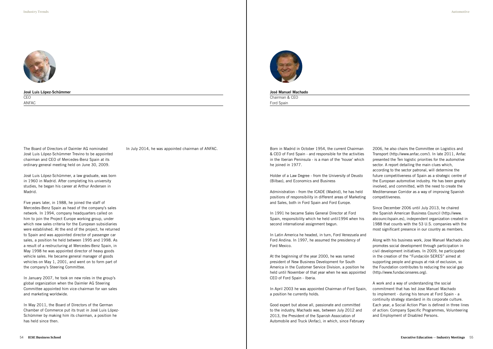

José Manuel Machado Chairman & CEO

Ford Spain

Born in Madrid in October 1954, the current Chairman & CEO of Ford Spain - and responsible for the activities in the Iberian Peninsula - is a man of the 'house' which he joined in 1977.

Holder of a Law Degree - from the University of Deusto (Bilbao), and Economics and Business

Administration - from the ICADE (Madrid), he has held positions of responsibility in different areas of Marketing and Sales, both in Ford Spain and Ford Europe.

In 1991 he became Sales General Director at Ford Spain, responsibility which he held until1994 when his second international assignment begun.

In Latin America he headed, in turn, Ford Venezuela and Ford Andina. In 1997, he assumed the presidency of Ford Mexico.

At the beginning of the year 2000, he was named president of New Business Development for South America in the Customer Service Division, a position he held until November of that year when he was appointed CEO of Ford Spain - Iberia.

In April 2003 he was appointed Chairman of Ford Spain, a position he currently holds.

Good expert but above all, passionate and committed to the industry, Machado was, between July 2012 and 2013, the President of the Spanish Association of Automobile and Truck (Anfac), in which, since February

2006, he also chairs the Committee on Logistics and Transport (http://www.anfac.com/). In late 2011, Anfac presented the Ten logistic priorities for the automotive sector. A report detailing the main clues which, according to the sector patronal, will determine the future competitiveness of Spain as a strategic centre of the European automotive industry. He has been greatly involved, and committed, with the need to create the Mediterranean Corridor as a way of improving Spanish competitiveness.

Since December 2006 until July 2013, he chaired the Spanish American Business Council (http://www. abcouncilspain.es), independent organization created in 1988 that counts with the 53 U.S. companies with the most significant presence in our country as members.

Along with his business work, Jose Manuel Machado also promotes social development through participation in civil development initiatives. In 2009, he participated in the creation of the "Fundación SERES" aimed at supporting people and groups at risk of exclusion, so the Foundation contributes to reducing the social gap (http://www.fundacionseres.org).

A work and a way of understanding the social commitment that has led Jose Manuel Machado to implement - during his tenure at Ford Spain - a continuity strategy standard in its corporate culture. Each year, a Social Action Plan is defined in three lines of action: Company Specific Programmes, Volunteering and Employment of Disabled Persons.

## José Luis López-Schümmer CEO ANFAC

The Board of Directors of Daimler AG nominated José Luis López-Schümmer Trevino to be appointed chairman and CEO of Mercedes-Benz Spain at its ordinary general meeting held on June 30, 2009.

José Luis López-Schümmer, a law graduate, was born in 1960 in Madrid. After completing his university studies, he began his career at Arthur Andersen in Madrid.

Five years later, in 1988, he joined the staff of Mercedes-Benz Spain as head of the company's sales network. In 1994, company headquarters called on him to join the Project Europe working group, under which new sales criteria for the European subsidiaries were established. At the end of the project, he returned to Spain and was appointed director of passenger car sales, a position he held between 1995 and 1998. As a result of a restructuring at Mercedes-Benz Spain, in May 1998 he was appointed director of heavy goods vehicle sales. He became general manager of goods vehicles on May 1, 2001, and went on to form part of the company's Steering Committee.

In January 2007, he took on new roles in the group's global organization when the Daimler AG Steering Committee appointed him vice-chairman for van sales and marketing worldwide.

In May 2011, the Board of Directors of the German Chamber of Commerce put its trust in José Luis López-Schümmer by making him its chairman, a position he has held since then.

In July 2014, he was appointed chairman of ANFAC.

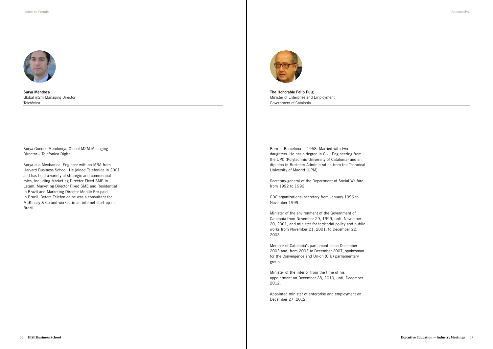

The Honorable Felip Puig Minister of Enterprise and Employment Government of Catalonia

Born in Barcelona in 1958. Married with two daughters. He has a degree in Civil Engineering from the UPC (Polytechnic University of Catalonia) and a diploma in Business Administration from the Technical University of Madrid (UPM).

Secretary-general of the Department of Social Welfare from 1992 to 1996.

CDC organizational secretary from January 1996 to November 1999.

Minister of the environment of the Government of Catalonia from November 29, 1999, until November 20, 2001, and minister for territorial policy and public works from November 21, 2001, to December 22, 2003.

Member of Catalonia's parliament since December 2003 and, from 2003 to December 2007, spokesman for the Convergence and Union (CiU) parliamentary group.

Minister of the interior from the time of his appointment on December 28, 2010, until December 2012.

Appointed minister of enterprise and employment on December 27, 2012.

Surya Mendoça Global m2m Managing Director Telefónica

Surya Guedes Mendonça, Global M2M Managing Director – Telefonica Digital

Surya is a Mechanical Engineer with an MBA from Harvard Business School. He joined Telefonica in 2001 and has held a variety of strategic and commercial roles, including Marketing Director Fixed SME in Latam, Marketing Director Fixed SME and Residential in Brazil and Marketing Director Mobile Pre-paid in Brazil. Before Telefonica he was a consultant for McKinsey & Co and worked in an internet start-up in Brazil.

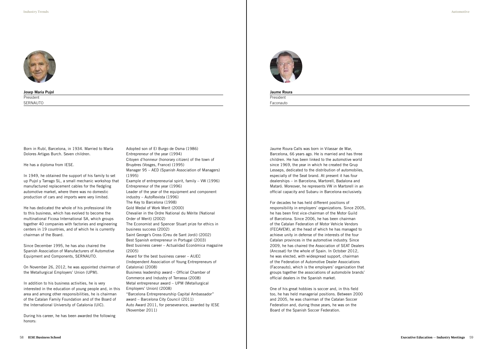

Josep Maria Pujol President SERNAUTO

Born in Rubí, Barcelona, in 1934. Married to María Dolores Artigas Burch. Seven children.

He has a diploma from IESE.

In 1949, he obtained the support of his family to set up Pujol y Tarrago SL, a small mechanic workshop that manufactured replacement cables for the fledgling automotive market, where there was no domestic production of cars and imports were very limited.

He has dedicated the whole of his professional life to this business, which has evolved to become the multinational Ficosa International SA, which groups together 40 companies with factories and engineering centers in 19 countries, and of which he is currently chairman of the Board.

Since December 1995, he has also chaired the Spanish Association of Manufacturers of Automotive Equipment and Components, SERNAUTO.

On November 26, 2012, he was appointed chairman of the Metallurgical Employers' Union (UPM).

In addition to his business activities, he is very interested in the education of young people and, in this area and among other responsibilities, he is chairman of the Catalan Family Foundation and of the Board of the International University of Catalonia (UIC).

**President** Faconauto

During his career, he has been awarded the following honors:

Adopted son of El Burgo de Osma (1986) Entrepreneur of the year (1994) Citoyen d'honneur (honorary citizen) of the town of Bruyères (Vosges, France) (1995) Manager 95 – AED (Spanish Association of Managers) (1995) Example of entrepreneurial spirit, family – VW (1996) Entrepreneur of the year (1996) Leader of the year of the equipment and component industry – AutoRevista (1996) The Key to Barcelona (1998) Gold Medal of Work Merit (2000) Chevalier in the Ordre National du Mérite (National Order of Merit) (2002) The Economist and Spencer Stuart prize for ethics in business success (2002) Saint George's Cross (Creu de Sant Jordi) (2002) Best Spanish entrepreneur in Portugal (2003) Best business career – Actualidad Económica magazine (2005) Award for the best business career – AIJEC (Independent Association of Young Entrepreneurs of Catalonia) (2008) Business leadership award – Official Chamber of Commerce and Industry of Terrassa (2008) Metal entrepreneur award – UPM (Metallurgical Employers' Union) (2008) "Barcelona Entrepreneurship Capital Ambassador" award – Barcelona City Council (2011) Auto Award 2011, for perseverance, awarded by IESE (November 2011)



Jaume Roura

Jaume Roura Calls was born in Vilassar de Mar, Barcelona, 66 years ago. He is married and has three children. He has been linked to the automotive world since 1969, the year in which he created the Grup Lesseps, dedicated to the distribution of automobiles, especially of the Seat brand. At present it has four dealerships – in Barcelona, Martorell, Badalona and Mataró. Moreover, he represents VW in Martorell in an official capacity and Subaru in Barcelona exclusively.

For decades he has held different positions of responsibility in employers' organizations. Since 2005, he has been first vice-chairman of the Motor Guild of Barcelona. Since 2006, he has been chairman of the Catalan Federation of Motor Vehicle Vendors (FECAVEM), at the head of which he has managed to achieve unity in defense of the interests of the four Catalan provinces in the automotive industry. Since 2009, he has chaired the Association of SEAT Dealers (Ancosat) for the whole of Spain. In October 2012, he was elected, with widespread support, chairman of the Federation of Automotive Dealer Associations (Faconauto), which is the employers' organization that groups together the associations of automobile brands' official dealers in the Spanish market.

One of his great hobbies is soccer and, in this field too, he has held managerial positions. Between 2000 and 2005, he was chairman of the Catalan Soccer Federation and, during those years, he was on the Board of the Spanish Soccer Federation.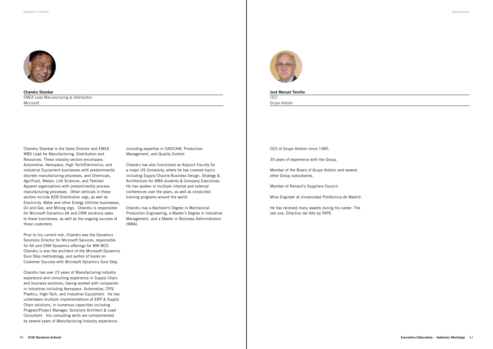

Chandru Shankar EMEA Lead-Manufacturing & Distribution Microsoft

Chandru Shankar is the Sales Director and EMEA MBS Lead for Manufacturing, Distribution and Resources. These industry sectors encompass Automotive, Aerospace, High Tech/Electronics, and Industrial Equipment businesses with predominantly discrete manufacturing processes, and Chemicals, Agri/Food, Metals, Life Sciences, and Textiles/ Apparel organizations with predominantly process manufacturing processes. Other verticals in these sectors include B2B Distribution orgs, as well as Electricity, Water and other Energy Utilities businesses, Oil and Gas, and Mining orgs. Chandru is responsible for Microsoft Dynamics AX and CRM solutions sales to these businesses, as well as the ongoing success of these customers.

Prior to his current role, Chandru was the Dynamics Solutions Director for Microsoft Services, responsible for AX and CRM Dynamics offerings for WW MCS. Chandru is also the architect of the Microsoft Dynamics Sure Step methodology, and author of books on Customer Success with Microsoft Dynamics Sure Step.

**C<sub>EO</sub>** Grupo Antolin

Chandru has over 23 years of Manufacturing industry experience and consulting experience in Supply Chain and business solutions, having worked with companies in industries including Aerospace, Automotive, CPG/ Plastics, High-Tech, and Industrial Equipment. He has undertaken multiple implementations of ERP & Supply Chain solutions, in numerous capacities including Program/Project Manager, Solutions Architect & Lead Consultant. His consulting skills are complemented by several years of Manufacturing Industry experience,

including expertise in CAD/CAM, Production Management, and Quality Control.

Chandru has also functioned as Adjunct Faculty for a major US University, where he has covered topics including Supply Chain/e-Business Design, Strategy & Architecture for MBA students & Company Executives. He has spoken in multiple internal and external conferences over the years, as well as conducted training programs around the world.

Chandru has a Bachelor's Degree in Mechanical-Production Engineering, a Master's Degree in Industrial Management, and a Master in Business Administration (MBA).



#### José Manuel Temiño

CEO of Grupo Antolin since 1985.

35 years of experience with the Group.

Member of the Board of Grupo Antolin and several other Group subsidiaries.

Member of Renault's Suppliers Council.

Mine Engineer at Universidad Politécnica de Madrid.

He has received many awards during his career. The last one, Directivo del Año by FAPE.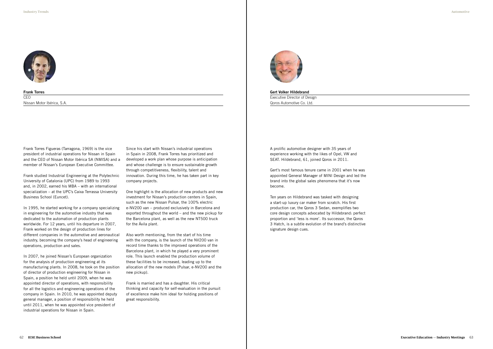

Frank Torres CEO Nissan Motor Ibérica, S.A.

Frank Torres Figueras (Tarragona, 1969) is the vice president of industrial operations for Nissan in Spain and the CEO of Nissan Motor Ibérica SA (NMISA) and a member of Nissan's European Executive Committee.

Frank studied Industrial Engineering at the Polytechnic University of Catalonia (UPC) from 1989 to 1993 and, in 2002, earned his MBA – with an international specialization – at the UPC's Caixa Terrassa University Business School (Euncet).

In 1995, he started working for a company specializing in engineering for the automotive industry that was dedicated to the automation of production plants worldwide. For 12 years, until his departure in 2007, Frank worked on the design of production lines for different companies in the automotive and aeronautical industry, becoming the company's head of engineering operations, production and sales.

In 2007, he joined Nissan's European organization for the analysis of production engineering at its manufacturing plants. In 2008, he took on the position of director of production engineering for Nissan in Spain, a position he held until 2009, when he was appointed director of operations, with responsibility for all the logistics and engineering operations of the company in Spain. In 2010, he was appointed deputy general manager, a position of responsibility he held until 2011, when he was appointed vice president of industrial operations for Nissan in Spain.

Since his start with Nissan's industrial operations in Spain in 2008, Frank Torres has prioritized and developed a work plan whose purpose is anticipation and whose challenge is to ensure sustainable growth through competitiveness, flexibility, talent and innovation. During this time, he has taken part in key company projects.

One highlight is the allocation of new products and new investment for Nissan's production centers in Spain, such as the new Nissan Pulsar, the 100% electric e-NV200 van – produced exclusively in Barcelona and exported throughout the world – and the new pickup for the Barcelona plant, as well as the new NT500 truck for the Ávila plant.

Also worth mentioning, from the start of his time with the company, is the launch of the NV200 van in record time thanks to the improved operations of the Barcelona plant, in which he played a very prominent role. This launch enabled the production volume of these facilities to be increased, leading up to the allocation of the new models (Pulsar, e-NV200 and the new pickup).

Frank is married and has a daughter. His critical thinking and capacity for self-evaluation in the pursuit of excellence make him ideal for holding positions of great responsibility.



Gert Volker Hildebrand Executive Director of Design Qoros Automotive Co. Ltd.

A prolific automotive designer with 35 years of experience working with the likes of Opel, VW and SEAT. Hildebrand, 61, joined Qoros in 2011.

Gert's most famous tenure came in 2001 when he was appointed General Manager of MINI Design and led the brand into the global sales phenomena that it's now become.

Ten years on Hildebrand was tasked with designing a start-up luxury car maker from scratch. His first production car, the Qoros 3 Sedan, exemplifies two core design concepts advocated by Hildebrand: perfect proportion and 'less is more'. Its successor, the Qoros 3 Hatch, is a subtle evolution of the brand's distinctive signature design cues.